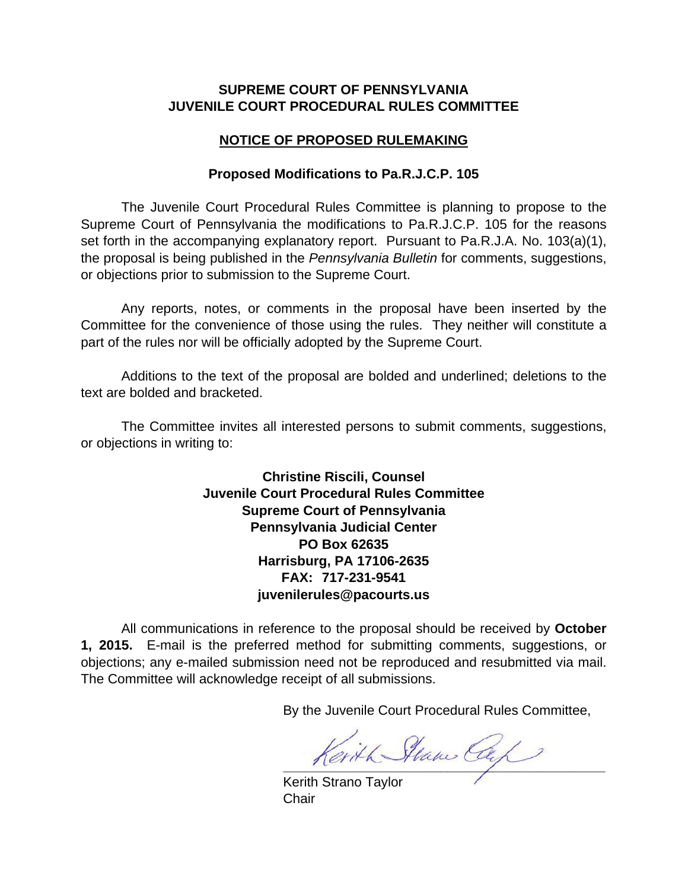## **SUPREME COURT OF PENNSYLVANIA JUVENILE COURT PROCEDURAL RULES COMMITTEE**

## **NOTICE OF PROPOSED RULEMAKING**

## **Proposed Modifications to Pa.R.J.C.P. 105**

The Juvenile Court Procedural Rules Committee is planning to propose to the Supreme Court of Pennsylvania the modifications to Pa.R.J.C.P. 105 for the reasons set forth in the accompanying explanatory report. Pursuant to Pa.R.J.A. No. 103(a)(1), the proposal is being published in the *Pennsylvania Bulletin* for comments, suggestions, or objections prior to submission to the Supreme Court.

Any reports, notes, or comments in the proposal have been inserted by the Committee for the convenience of those using the rules. They neither will constitute a part of the rules nor will be officially adopted by the Supreme Court.

Additions to the text of the proposal are bolded and underlined; deletions to the text are bolded and bracketed.

The Committee invites all interested persons to submit comments, suggestions, or objections in writing to:

> **Christine Riscili, Counsel Juvenile Court Procedural Rules Committee Supreme Court of Pennsylvania Pennsylvania Judicial Center PO Box 62635 Harrisburg, PA 17106-2635 FAX: 717-231-9541 juvenilerules@pacourts.us**

All communications in reference to the proposal should be received by **October 1, 2015.** E-mail is the preferred method for submitting comments, suggestions, or objections; any e-mailed submission need not be reproduced and resubmitted via mail. The Committee will acknowledge receipt of all submissions.

By the Juvenile Court Procedural Rules Committee,

Kerith Stam Cap

Kerith Strano Taylor **Chair**